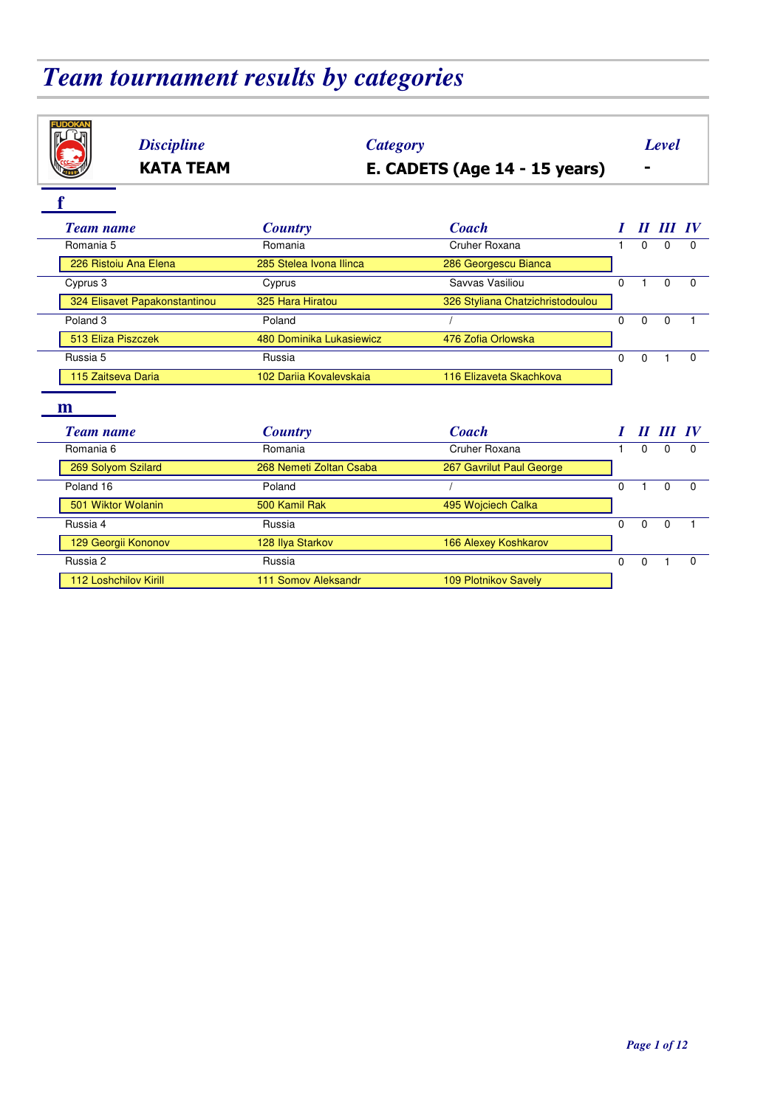# *Team tournament results by categories*

| <b>FUDOKAN</b><br><b>Discipline</b><br><b>Category</b><br>E. CADETS (Age 14 - 15 years)<br><b>KATA TEAM</b> |                                |                                  |              |          | <b>Level</b> |          |  |  |  |
|-------------------------------------------------------------------------------------------------------------|--------------------------------|----------------------------------|--------------|----------|--------------|----------|--|--|--|
|                                                                                                             |                                |                                  |              |          |              |          |  |  |  |
|                                                                                                             |                                |                                  |              |          |              |          |  |  |  |
| <b>Team name</b>                                                                                            | <b>Country</b>                 | <b>Coach</b>                     |              |          | II III IV    |          |  |  |  |
| Romania 5                                                                                                   | Romania                        | Cruher Roxana                    | $\mathbf{1}$ | $\Omega$ | $\Omega$     | 0        |  |  |  |
| 226 Ristoiu Ana Elena                                                                                       | 285 Stelea Ivona Ilinca        | 286 Georgescu Bianca             |              |          |              |          |  |  |  |
| Cyprus 3                                                                                                    | Cyprus                         | Savvas Vasiliou                  | $\Omega$     | 1        | $\Omega$     | $\Omega$ |  |  |  |
| 324 Elisavet Papakonstantinou                                                                               | 325 Hara Hiratou               | 326 Styliana Chatzichristodoulou |              |          |              |          |  |  |  |
| Poland <sub>3</sub>                                                                                         | Poland                         |                                  | $\Omega$     | $\Omega$ | $\Omega$     |          |  |  |  |
| 513 Eliza Piszczek                                                                                          | 480 Dominika Lukasiewicz       | 476 Zofia Orlowska               |              |          |              |          |  |  |  |
| Russia 5                                                                                                    | Russia                         |                                  | $\Omega$     | 0        | $\mathbf{1}$ | $\Omega$ |  |  |  |
| 115 Zaitseva Daria                                                                                          | 102 Darija Kovalevskaja        | 116 Elizaveta Skachkova          |              |          |              |          |  |  |  |
|                                                                                                             |                                |                                  |              |          |              |          |  |  |  |
| m                                                                                                           |                                |                                  |              |          |              |          |  |  |  |
| <b>Team name</b>                                                                                            | <b>Country</b>                 | <b>Coach</b>                     |              |          | 11 III       |          |  |  |  |
| Romania 6                                                                                                   | Romania                        | Cruher Roxana                    | $\mathbf{1}$ | $\Omega$ | $\Omega$     | $\Omega$ |  |  |  |
| 269 Solyom Szilard                                                                                          | 268 Nemeti Zoltan Csaba        | 267 Gavrilut Paul George         |              |          |              |          |  |  |  |
| Poland 16                                                                                                   | Poland                         |                                  | $\Omega$     | 1        | $\Omega$     | $\Omega$ |  |  |  |
| 501 Wiktor Wolanin                                                                                          | 500 Kamil Rak                  | 495 Wojciech Calka               |              |          |              |          |  |  |  |
| Russia 4                                                                                                    | Russia                         |                                  | $\mathbf{0}$ | $\Omega$ | $\Omega$     | 1        |  |  |  |
| 129 Georgii Kononov                                                                                         | 128 Ilya Starkov               | 166 Alexey Koshkarov             |              |          |              |          |  |  |  |
| Russia 2                                                                                                    | Russia<br>$\Omega$<br>$\Omega$ |                                  |              |          | $\mathbf{1}$ | $\Omega$ |  |  |  |
| 112 Loshchilov Kirill                                                                                       | 111 Somov Aleksandr            | <b>109 Plotnikov Savelv</b>      |              |          |              |          |  |  |  |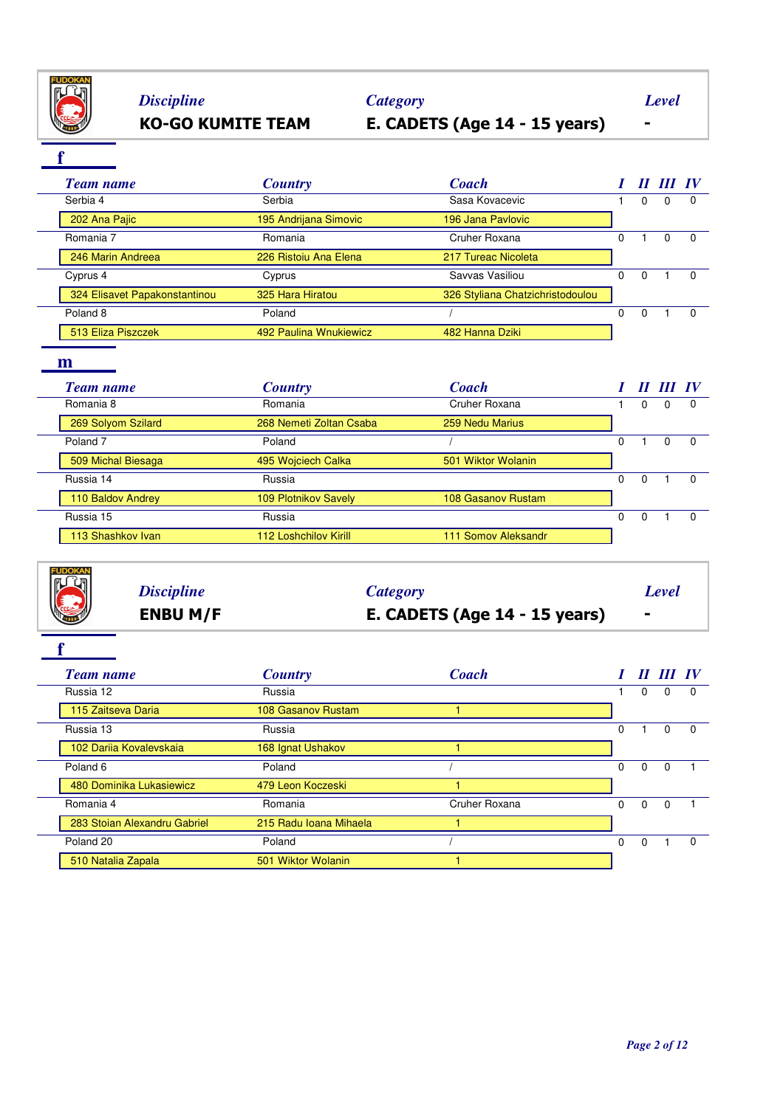

# *Discipline Category Level*

# **KO-GO KUMITE TEAM E. CADETS (Age 14 - 15 years) -**

**f**

| <b>Team name</b>              | <b>Country</b>         | <b>Coach</b>                     |   | $\boldsymbol{\mathit{II}}$ | III IV |          |
|-------------------------------|------------------------|----------------------------------|---|----------------------------|--------|----------|
| Serbia 4                      | Serbia                 | Sasa Kovacevic                   |   | 0                          | 0      | $\Omega$ |
| 202 Ana Pajic                 | 195 Andrijana Simovic  | 196 Jana Pavlovic                |   |                            |        |          |
| Romania 7                     | Romania                | Cruher Roxana                    | O |                            | 0      | $\Omega$ |
| 246 Marin Andreea             | 226 Ristoiu Ana Elena  | 217 Tureac Nicoleta              |   |                            |        |          |
| Cyprus 4                      | Cyprus                 | Savvas Vasiliou                  | 0 | $\Omega$                   |        |          |
| 324 Elisavet Papakonstantinou | 325 Hara Hiratou       | 326 Styliana Chatzichristodoulou |   |                            |        |          |
| Poland <sub>8</sub>           | Poland                 |                                  | O | $\Omega$                   |        |          |
| 513 Eliza Piszczek            | 492 Paulina Wnukiewicz | 482 Hanna Dziki                  |   |                            |        |          |

### **m**

|  | Team name           | <b>Country</b>               | <b>Coach</b>        |          |   | III IV |          |
|--|---------------------|------------------------------|---------------------|----------|---|--------|----------|
|  | Romania 8           | Romania                      | Cruher Roxana       |          | 0 | 0      |          |
|  | 269 Solyom Szilard  | 268 Nemeti Zoltan Csaba      | 259 Nedu Marius     |          |   |        |          |
|  | Poland <sub>7</sub> | Poland                       |                     | $\Omega$ |   | 0      | $\Omega$ |
|  | 509 Michal Biesaga  | 495 Wojciech Calka           | 501 Wiktor Wolanin  |          |   |        |          |
|  | Russia 14           | Russia                       |                     | 0        | 0 |        | $\Omega$ |
|  | 110 Baldov Andrey   | <b>109 Plotnikov Savely</b>  | 108 Gasanov Rustam  |          |   |        |          |
|  | Russia 15           | Russia                       |                     | 0        | 0 |        |          |
|  | 113 Shashkov Ivan   | <b>112 Loshchilov Kirill</b> | 111 Somov Aleksandr |          |   |        |          |

|                 | <b>ENBU M/F</b>   | E. CADETS (Age $14 - 15$ years) | $\blacksquare$ |  |
|-----------------|-------------------|---------------------------------|----------------|--|
| <b>CONCRETE</b> | <b>Discipline</b> | Category                        | Level          |  |
|                 |                   |                                 |                |  |

|  | <b>Team name</b>             | <b>Country</b>         | <b>Coach</b>  |          | $\boldsymbol{\mathit{II}}$ |   | <b>IV</b>    |
|--|------------------------------|------------------------|---------------|----------|----------------------------|---|--------------|
|  | Russia 12                    | Russia                 |               |          | 0                          | 0 | <sup>0</sup> |
|  | 115 Zaitseva Daria           | 108 Gasanov Rustam     |               |          |                            |   |              |
|  | Russia 13                    | Russia                 |               | $\Omega$ |                            | 0 | $\Omega$     |
|  | 102 Darija Kovalevskaja      | 168 Ignat Ushakov      |               |          |                            |   |              |
|  | Poland <sub>6</sub>          | Poland                 |               | $\Omega$ | $\Omega$                   | 0 |              |
|  | 480 Dominika Lukasiewicz     | 479 Leon Koczeski      |               |          |                            |   |              |
|  | Romania 4                    | Romania                | Cruher Roxana | $\Omega$ | $\Omega$                   | 0 |              |
|  | 283 Stoian Alexandru Gabriel | 215 Radu Ioana Mihaela |               |          |                            |   |              |
|  | Poland 20                    | Poland                 |               | $\Omega$ | 0                          |   |              |
|  | 510 Natalia Zapala           | 501 Wiktor Wolanin     |               |          |                            |   |              |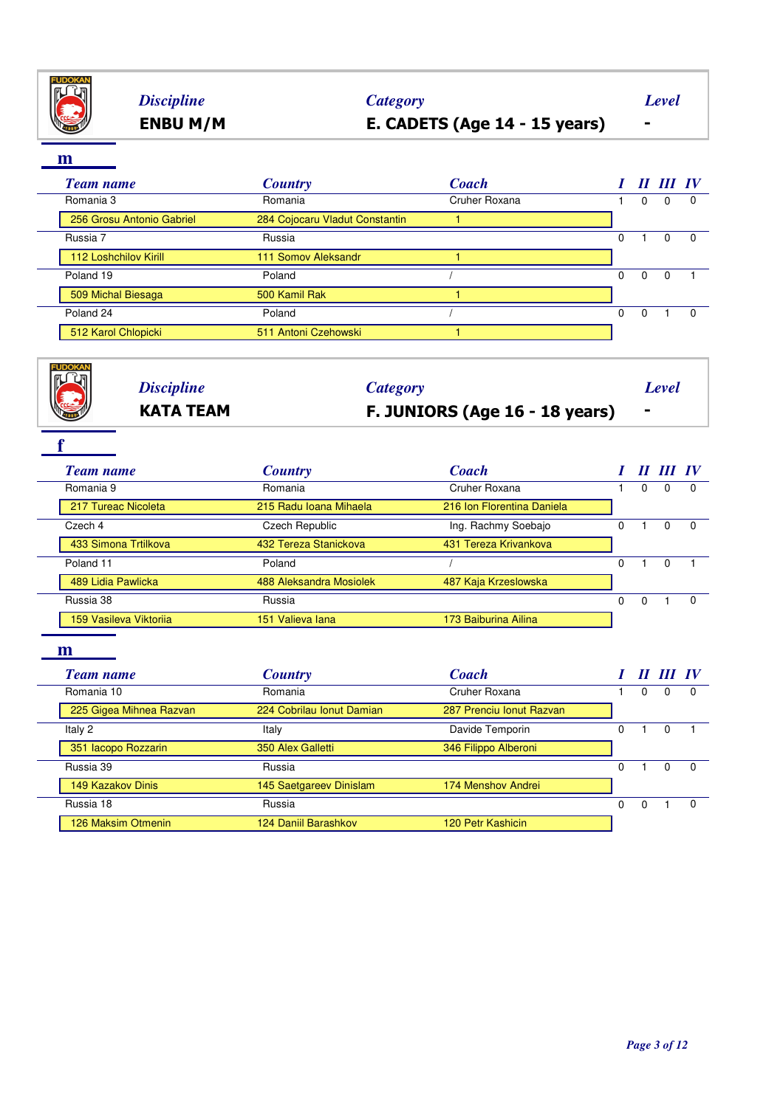

## **ENBU M/M E. CADETS (Age 14 - 15 years) -** *Discipline Category Level*

| <b>Team name</b>             | <b>Country</b>                 | <b>Coach</b>  |   |   | II III IV |  |
|------------------------------|--------------------------------|---------------|---|---|-----------|--|
| Romania 3                    | Romania                        | Cruher Roxana |   | 0 | 0         |  |
| 256 Grosu Antonio Gabriel    | 284 Cojocaru Vladut Constantin |               |   |   |           |  |
| Russia 7                     | Russia                         |               | 0 |   | $\Omega$  |  |
| <b>112 Loshchilov Kirill</b> | 111 Somov Aleksandr            |               |   |   |           |  |
| Poland 19                    | Poland                         |               | 0 | 0 | $\Omega$  |  |
| 509 Michal Biesaga           | 500 Kamil Rak                  |               |   |   |           |  |
| Poland 24                    | Poland                         |               | 0 | 0 |           |  |
| 512 Karol Chlopicki          | 511 Antoni Czehowski           |               |   |   |           |  |

| <b>KATA TEAM</b>  | F. JUNIORS (Age 16 - 18 years) | $\blacksquare$ |  |
|-------------------|--------------------------------|----------------|--|
| <b>Discipline</b> | Category                       | Level          |  |
|                   |                                |                |  |

| <b>Team name</b>       | <b>Country</b>          | <b>Coach</b>               |   |   |   | <b>IV</b> |
|------------------------|-------------------------|----------------------------|---|---|---|-----------|
| Romania 9              | Romania                 | Cruher Roxana              |   | 0 | U |           |
| 217 Tureac Nicoleta    | 215 Radu Ioana Mihaela  | 216 Ion Florentina Daniela |   |   |   |           |
| Czech 4                | Czech Republic          | Ing. Rachmy Soebajo        | 0 |   | 0 | 0         |
| 433 Simona Trtilkova   | 432 Tereza Stanickova   | 431 Tereza Krivankova      |   |   |   |           |
| Poland 11              | Poland                  |                            | 0 |   | 0 |           |
| 489 Lidia Pawlicka     | 488 Aleksandra Mosiolek | 487 Kaja Krzeslowska       |   |   |   |           |
| Russia 38              | Russia                  |                            | 0 | 0 |   | $\Omega$  |
| 159 Vasileva Viktorija | 151 Valieva lana        | 173 Baiburina Ailina       |   |   |   |           |
|                        |                         |                            |   |   |   |           |
| m                      |                         |                            |   |   |   |           |

|  | Team name               | <b>Country</b>            | <b>Coach</b>             |   |   |   |          |
|--|-------------------------|---------------------------|--------------------------|---|---|---|----------|
|  | Romania 10              | Romania                   | Cruher Roxana            |   | 0 | 0 |          |
|  | 225 Gigea Mihnea Razvan | 224 Cobrilau Ionut Damian | 287 Prenciu Ionut Razvan |   |   |   |          |
|  | Italy 2                 | Italy                     | Davide Temporin          |   |   |   |          |
|  | 351 Iacopo Rozzarin     | 350 Alex Galletti         | 346 Filippo Alberoni     |   |   |   |          |
|  | Russia 39               | Russia                    |                          | 0 |   | 0 | $\Omega$ |
|  | 149 Kazakov Dinis       | 145 Saetgareev Dinislam   | 174 Menshov Andrei       |   |   |   |          |
|  | Russia 18               | Russia                    |                          | 0 | O |   | $\Omega$ |
|  | 126 Maksim Otmenin      | 124 Daniil Barashkov      | 120 Petr Kashicin        |   |   |   |          |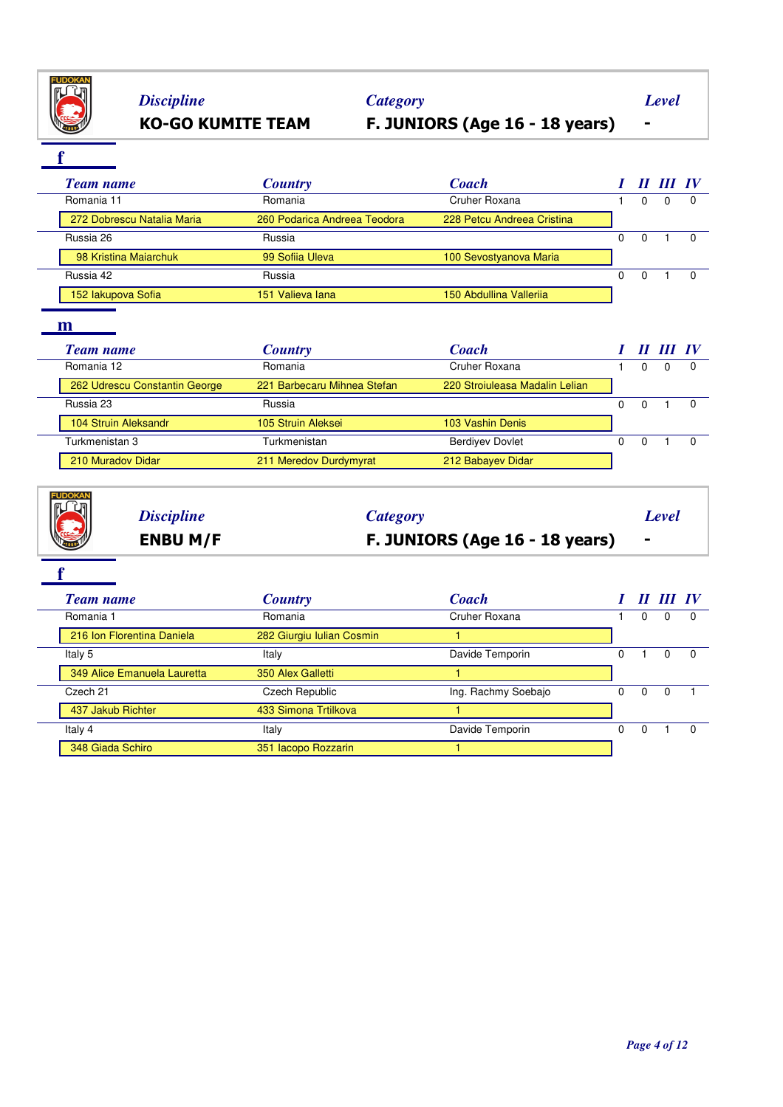

# **KO-GO KUMITE TEAM F. JUNIORS (Age 16 - 18 years) -** *Discipline Category Level*

### **f**

| <b>Team name</b>           | <b>Country</b>               | <b>Coach</b>               |  | II III IV |          |
|----------------------------|------------------------------|----------------------------|--|-----------|----------|
| Romania 11                 | Romania                      | Cruher Roxana              |  | 0         | $\Omega$ |
| 272 Dobrescu Natalia Maria | 260 Podarica Andreea Teodora | 228 Petcu Andreea Cristina |  |           |          |
| Russia 26                  | Russia                       |                            |  |           |          |
| 98 Kristina Majarchuk      | 99 Sofija Uleva              | 100 Sevostyanova Maria     |  |           |          |
| Russia 42                  | Russia                       |                            |  |           |          |
| 152 lakupova Sofia         | 151 Valieva lana             | 150 Abdullina Vallerija    |  |           |          |

### **m**

| <b>Team name</b>              | <b>Country</b>              | <b>Coach</b>                   |    | II III IV |  |
|-------------------------------|-----------------------------|--------------------------------|----|-----------|--|
| Romania 12                    | Romania                     | Cruher Roxana                  |    |           |  |
| 262 Udrescu Constantin George | 221 Barbecaru Mihnea Stefan | 220 Stroiuleasa Madalin Lelian |    |           |  |
| Russia 23                     | Russia                      |                                |    |           |  |
| 104 Struin Aleksandr          | 105 Struin Aleksei          | 103 Vashin Denis               |    |           |  |
| Turkmenistan 3                | Turkmenistan                | <b>Berdivev Dovlet</b>         | U. |           |  |
| 210 Muradov Didar             | 211 Meredov Durdymyrat      | 212 Babayev Didar              |    |           |  |

|                 | <b>Discipline</b> | Category                       | Level          |
|-----------------|-------------------|--------------------------------|----------------|
| <b>THE READ</b> | <b>ENBU M/F</b>   | F. JUNIORS (Age 16 - 18 years) | $\blacksquare$ |

| <b>Team name</b>            | <b>Country</b>            | <b>Coach</b>        |   | $\boldsymbol{H}$ | III IV |          |
|-----------------------------|---------------------------|---------------------|---|------------------|--------|----------|
| Romania 1                   | Romania                   | Cruher Roxana       |   | 0                | 0      | - 0      |
| 216 Ion Florentina Daniela  | 282 Giurgiu Iulian Cosmin |                     |   |                  |        |          |
| Italy 5                     | Italy                     | Davide Temporin     |   |                  | 0      | $\Omega$ |
| 349 Alice Emanuela Lauretta | 350 Alex Galletti         |                     |   |                  |        |          |
| Czech 21                    | Czech Republic            | Ing. Rachmy Soebajo |   | 0                |        |          |
| 437 Jakub Richter           | 433 Simona Trtilkova      |                     |   |                  |        |          |
| Italy 4                     | Italy                     | Davide Temporin     | 0 | 0                |        |          |
| 348 Giada Schiro            | 351 Iacopo Rozzarin       |                     |   |                  |        |          |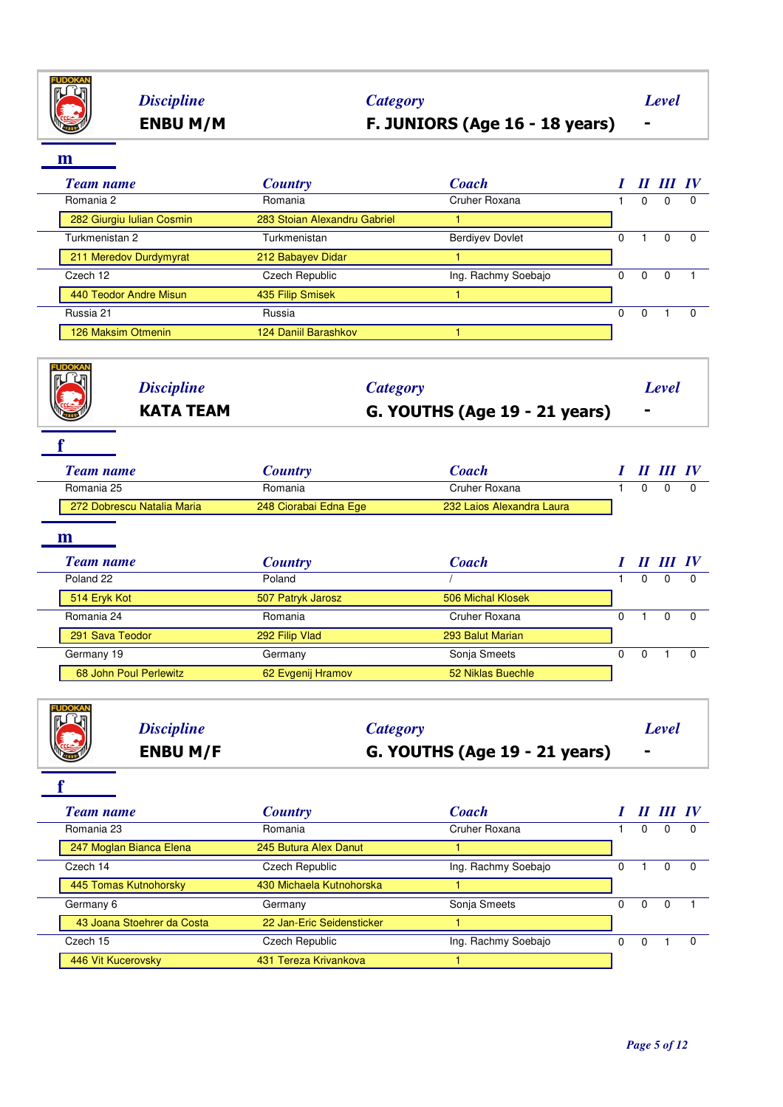

## **ENBU M/M F. JUNIORS (Age 16 - 18 years) -** *Discipline Category Level*

**m**

**FUDOKAN** 

 $\overline{\phantom{a}}$ 

| ш                         |                              |                        |   |          |           |          |
|---------------------------|------------------------------|------------------------|---|----------|-----------|----------|
| <b>Team name</b>          | <b>Country</b>               | <b>Coach</b>           |   |          | II III IV |          |
| Romania 2                 | Romania                      | Cruher Roxana          |   | $\Omega$ | $\Omega$  | $\Omega$ |
| 282 Giurgiu Iulian Cosmin | 283 Stoian Alexandru Gabriel |                        |   |          |           |          |
| Turkmenistan 2            | Turkmenistan                 | <b>Berdivev Dovlet</b> | 0 |          | $\Omega$  | 0        |
| 211 Meredov Durdymyrat    | 212 Babayev Didar            |                        |   |          |           |          |
| Czech 12                  | Czech Republic               | Ing. Rachmy Soebajo    | 0 | $\Omega$ | $\Omega$  |          |
| 440 Teodor Andre Misun    | 435 Filip Smisek             |                        |   |          |           |          |
| Russia 21                 | Russia                       |                        | 0 | $\Omega$ |           | $\Omega$ |
| 126 Maksim Otmenin        | 124 Daniil Barashkov         |                        |   |          |           |          |
|                           |                              |                        |   |          |           |          |

| ' पा<br><b>Discipline</b><br>Category<br><b>KATA TEAM</b><br>G. YOUTHS (Age 19 - 21 years) |                            | $\blacksquare$        | <b>Level</b>              |  |   |                                   |          |
|--------------------------------------------------------------------------------------------|----------------------------|-----------------------|---------------------------|--|---|-----------------------------------|----------|
| <b>Team name</b>                                                                           |                            | <b>Country</b>        | <b>Coach</b>              |  |   | $\bm{H}$ $\bm{H}\bm{I}$ $\bm{IV}$ |          |
| Romania 25                                                                                 |                            | Romania               | Cruher Roxana             |  | 0 | 0                                 | $\Omega$ |
|                                                                                            | 272 Dobrescu Natalia Maria | 248 Ciorabai Edna Ege | 232 Laios Alexandra Laura |  |   |                                   |          |

| <b>Team name</b>       | <b>Country</b>    | <b>Coach</b>      | $\boldsymbol{\mathit{II}}$ | Ш |  |
|------------------------|-------------------|-------------------|----------------------------|---|--|
| Poland 22              | Poland            |                   |                            |   |  |
| 514 Eryk Kot           | 507 Patryk Jarosz | 506 Michal Klosek |                            |   |  |
| Romania 24             | Romania           | Cruher Roxana     |                            |   |  |
| 291 Sava Teodor        | 292 Filip Vlad    | 293 Balut Marian  |                            |   |  |
| Germany 19             | Germany           | Sonja Smeets      | 0                          |   |  |
| 68 John Poul Perlewitz | 62 Evgenij Hramov | 52 Niklas Buechle |                            |   |  |
|                        |                   |                   |                            |   |  |

|                    | <b>ENBU M/F</b>   | G. YOUTHS (Age 19 - 21 years) |       |
|--------------------|-------------------|-------------------------------|-------|
| <b>THE CONTROL</b> | <b>Discipline</b> | Category                      | Level |

| <b>Team name</b>           | <b>Country</b>            | <b>Coach</b>        |    |   |          | $\bm{IV}$ |
|----------------------------|---------------------------|---------------------|----|---|----------|-----------|
| Romania 23                 | Romania                   | Cruher Roxana       |    | 0 | 0        |           |
| 247 Moglan Bianca Elena    | 245 Butura Alex Danut     |                     |    |   |          |           |
| Czech 14                   | Czech Republic            | Ing. Rachmy Soebajo |    |   |          |           |
| 445 Tomas Kutnohorsky      | 430 Michaela Kutnohorska  |                     |    |   |          |           |
| Germany 6                  | Germany                   | Sonja Smeets        | 0  | 0 | $\Omega$ |           |
| 43 Joana Stoehrer da Costa | 22 Jan-Eric Seidensticker |                     |    |   |          |           |
| Czech 15                   | Czech Republic            | Ing. Rachmy Soebajo | O. |   |          |           |
| 446 Vit Kucerovsky         | 431 Tereza Krivankova     |                     |    |   |          |           |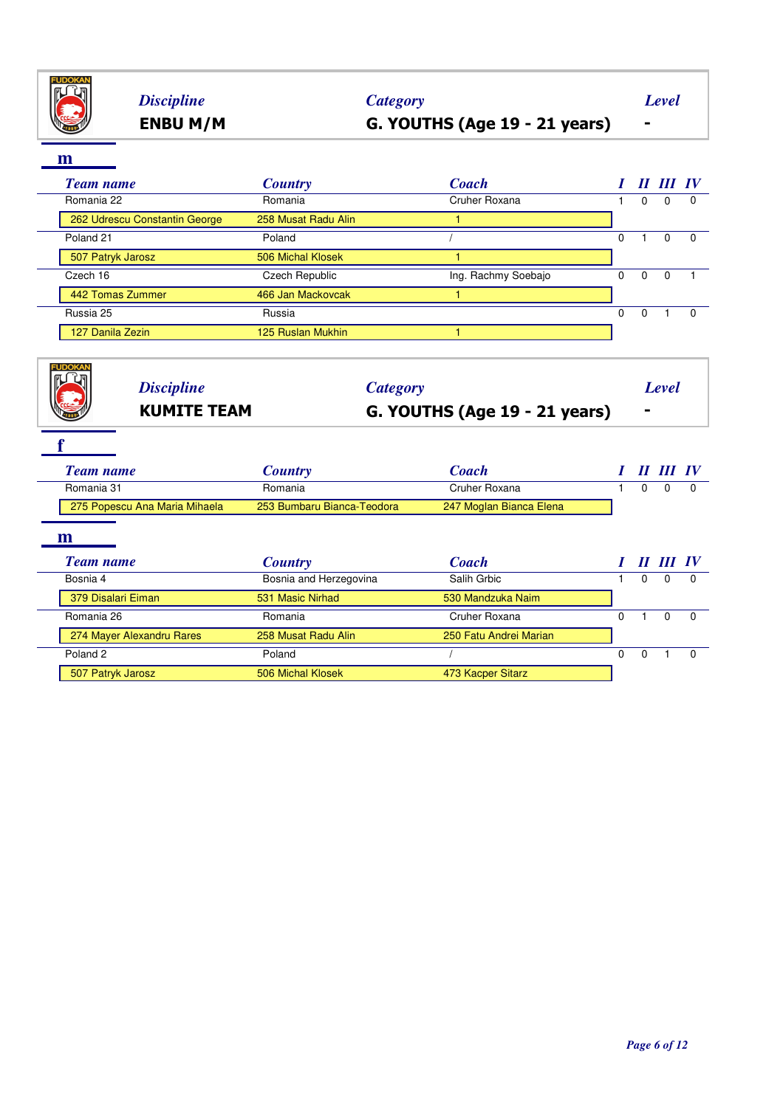

# **ENBU M/M G. YOUTHS (Age 19 - 21 years) -** *Discipline Category Level*

| ш                             |                     |                     |   |          |           |              |
|-------------------------------|---------------------|---------------------|---|----------|-----------|--------------|
| <b>Team name</b>              | <b>Country</b>      | <b>Coach</b>        |   |          | II III IV |              |
| Romania 22                    | Romania             | Cruher Roxana       |   | $\Omega$ | $\Omega$  | $\Omega$     |
| 262 Udrescu Constantin George | 258 Musat Radu Alin |                     |   |          |           |              |
| Poland <sub>21</sub>          | Poland              |                     | 0 |          | $\Omega$  | 0            |
| 507 Patryk Jarosz             | 506 Michal Klosek   |                     |   |          |           |              |
| Czech 16                      | Czech Republic      | Ing. Rachmy Soebajo | 0 | $\Omega$ |           |              |
| 442 Tomas Zummer              | 466 Jan Mackovcak   |                     |   |          |           |              |
| Russia 25                     | Russia              |                     | 0 | $\Omega$ |           | <sup>0</sup> |
| 127 Danila Zezin              | 125 Ruslan Mukhin   |                     |   |          |           |              |
|                               |                     |                     |   |          |           |              |

| <b>Discipline</b><br><b>KUMITE TEAM</b> | <b>Category</b>            | G. YOUTHS (Age 19 - 21 years) |   | $\blacksquare$ | Level                             |          |
|-----------------------------------------|----------------------------|-------------------------------|---|----------------|-----------------------------------|----------|
| <b>Team name</b>                        | <b>Country</b>             | <b>Coach</b>                  |   |                | II III IV                         |          |
| Romania 31                              | Romania                    | Cruher Roxana                 |   | 0              | $\Omega$                          | $\Omega$ |
| 275 Popescu Ana Maria Mihaela           | 253 Bumbaru Bianca-Teodora | 247 Moglan Bianca Elena       |   |                |                                   |          |
|                                         |                            |                               |   |                |                                   |          |
| m<br><b>Team name</b>                   | <b>Country</b>             | <b>Coach</b>                  |   |                | $\bm{H}$ $\bm{H}\bm{I}$ $\bm{IV}$ |          |
| Bosnia 4                                | Bosnia and Herzegovina     | Salih Grbic                   |   | $\Omega$       | $\Omega$                          | $\Omega$ |
| 379 Disalari Eiman                      | 531 Masic Nirhad           | 530 Mandzuka Naim             |   |                |                                   |          |
| Romania 26                              | Romania                    | Cruher Roxana                 | 0 |                | $\Omega$                          | $\Omega$ |
| 274 Mayer Alexandru Rares               | 258 Musat Radu Alin        | 250 Fatu Andrei Marian        |   |                |                                   |          |
| Poland <sub>2</sub>                     | Poland                     |                               | 0 | $\mathbf 0$    |                                   | $\Omega$ |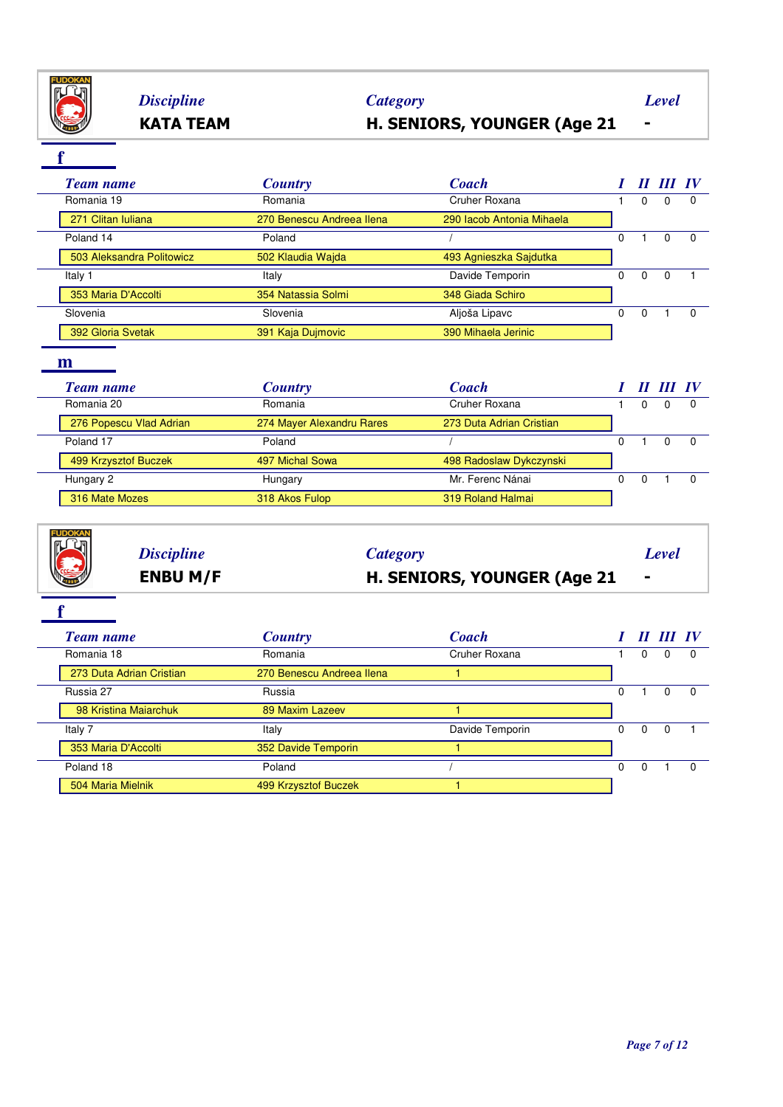

## **KATA TEAM H. SENIORS, YOUNGER (Age 21 -** *Discipline Category Level*

**f**

| <b>Team name</b>          | <b>Country</b>            | <b>Coach</b>              |   | Н        | III IV   |          |
|---------------------------|---------------------------|---------------------------|---|----------|----------|----------|
| Romania 19                | Romania                   | Cruher Roxana             |   | $\Omega$ | $\Omega$ |          |
| 271 Clitan Iuliana        | 270 Benescu Andreea Ilena | 290 Iacob Antonia Mihaela |   |          |          |          |
| Poland 14                 | Poland                    |                           | 0 |          |          | $\Omega$ |
| 503 Aleksandra Politowicz | 502 Klaudia Wajda         | 493 Agnieszka Sajdutka    |   |          |          |          |
| Italy 1                   | Italy                     | Davide Temporin           | 0 | $\Omega$ | - 0      |          |
| 353 Maria D'Accolti       | 354 Natassia Solmi        | 348 Giada Schiro          |   |          |          |          |
| Slovenia                  | Slovenia                  | Aljoša Lipavc             | 0 | $\Omega$ |          | $\Omega$ |
| 392 Gloria Svetak         | 391 Kaja Dujmovic         | 390 Mihaela Jerinic       |   |          |          |          |

### **m**

| <b>Team name</b>        | <b>Country</b>            | <b>Coach</b>             | $\boldsymbol{\mathit{II}}$ | III IV |     |
|-------------------------|---------------------------|--------------------------|----------------------------|--------|-----|
| Romania 20              | Romania                   | Cruher Roxana            |                            | 0      |     |
| 276 Popescu Vlad Adrian | 274 Mayer Alexandru Rares | 273 Duta Adrian Cristian |                            |        |     |
| Poland 17               | Poland                    |                          |                            | 0      | - റ |
| 499 Krzysztof Buczek    | 497 Michal Sowa           | 498 Radoslaw Dykczynski  |                            |        |     |
| Hungary 2               | Hungary                   | Mr. Ferenc Nánai         | 0                          |        |     |
| 316 Mate Mozes          | 318 Akos Fulop            | 319 Roland Halmai        |                            |        |     |

# **ENBU M/F H. SENIORS, YOUNGER (Age 21 -** *Discipline Category Level*

| <b>Team name</b>         | <b>Country</b>            | <b>Coach</b>    |          | II III IV |  |
|--------------------------|---------------------------|-----------------|----------|-----------|--|
| Romania 18               | Romania                   | Cruher Roxana   | O        |           |  |
| 273 Duta Adrian Cristian | 270 Benescu Andreea Ilena |                 |          |           |  |
| Russia 27                | Russia                    |                 |          |           |  |
| 98 Kristina Maiarchuk    | 89 Maxim Lazeev           |                 |          |           |  |
| Italy 7                  | Italy                     | Davide Temporin | $\Omega$ |           |  |
| 353 Maria D'Accolti      | 352 Davide Temporin       |                 |          |           |  |
| Poland 18                | Poland                    |                 | 0        |           |  |
| 504 Maria Mielnik        | 499 Krzysztof Buczek      |                 |          |           |  |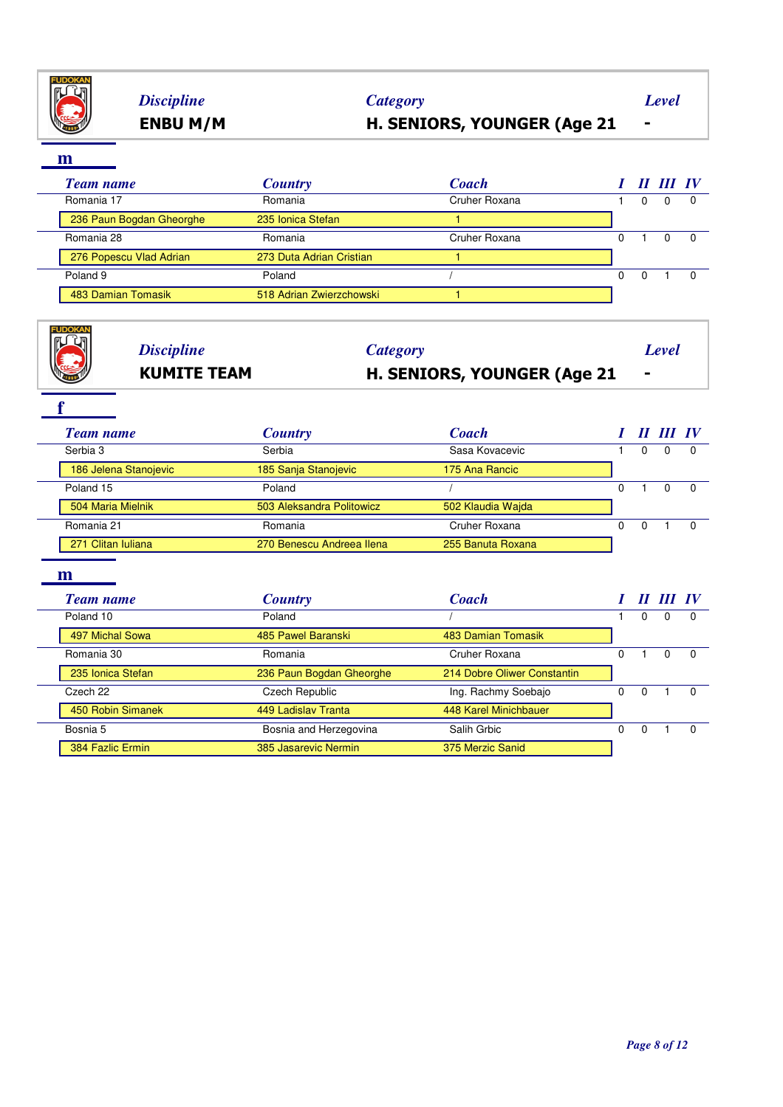

## **ENBU M/M H. SENIORS, YOUNGER (Age 21 -** *Discipline Category Level*

**m**

| <b>Team name</b>         | <b>Country</b>           | <b>Coach</b>  |   | $\bm{H}$ $\bm{H}$ $\bm{I}$ $\bm{W}$ |  |
|--------------------------|--------------------------|---------------|---|-------------------------------------|--|
| Romania 17               | Romania                  | Cruher Roxana | 0 |                                     |  |
| 236 Paun Bogdan Gheorghe | 235 Ionica Stefan        |               |   |                                     |  |
| Romania 28               | Romania                  | Cruher Roxana |   |                                     |  |
| 276 Popescu Vlad Adrian  | 273 Duta Adrian Cristian |               |   |                                     |  |
| Poland 9                 | Poland                   |               | 0 |                                     |  |
| 483 Damian Tomasik       | 518 Adrian Zwierzchowski |               |   |                                     |  |

| EN CAR | <b>KUMITE TEAM</b> | <b>H. SENIORS, YOUNGER (Age 21</b> |       |  |
|--------|--------------------|------------------------------------|-------|--|
|        | <b>Discipline</b>  | Category                           | Level |  |

| <b>Team name</b>      | <b>Country</b>            | <b>Coach</b>                |          | $\boldsymbol{\mathit{II}}$ |           |              |
|-----------------------|---------------------------|-----------------------------|----------|----------------------------|-----------|--------------|
| Serbia 3              | Serbia                    | Sasa Kovacevic              |          | 0                          | 0         |              |
| 186 Jelena Stanojevic | 185 Sanja Stanojevic      | 175 Ana Rancic              |          |                            |           |              |
| Poland 15             | Poland                    |                             | 0        |                            | $\Omega$  | $\Omega$     |
| 504 Maria Mielnik     | 503 Aleksandra Politowicz | 502 Klaudia Wajda           |          |                            |           |              |
| Romania 21            | Romania                   | Cruher Roxana               | $\Omega$ | $\Omega$                   |           | $\Omega$     |
| 271 Clitan Iuliana    | 270 Benescu Andreea Ilena | 255 Banuta Roxana           |          |                            |           |              |
| m                     |                           |                             |          |                            |           |              |
| <b>Team name</b>      | <b>Country</b>            | <b>Coach</b>                |          |                            | II III IV |              |
| Poland 10             | Poland                    |                             |          | $\mathbf 0$                | 0         | $\Omega$     |
| 497 Michal Sowa       | 485 Pawel Baranski        | 483 Damian Tomasik          |          |                            |           |              |
| Romania 30            | Romania                   | Cruher Roxana               | $\Omega$ |                            | $\Omega$  | $\Omega$     |
| 235 Ionica Stefan     | 236 Paun Bogdan Gheorghe  | 214 Dobre Oliwer Constantin |          |                            |           |              |
| Czech 22              | Czech Republic            | Ing. Rachmy Soebajo         | $\Omega$ | $\Omega$                   |           | $\Omega$     |
| 450 Robin Simanek     | 449 Ladislav Tranta       | 448 Karel Minichbauer       |          |                            |           |              |
| Bosnia 5              | Bosnia and Herzegovina    | Salih Grbic                 | 0        | 0                          |           | <sup>0</sup> |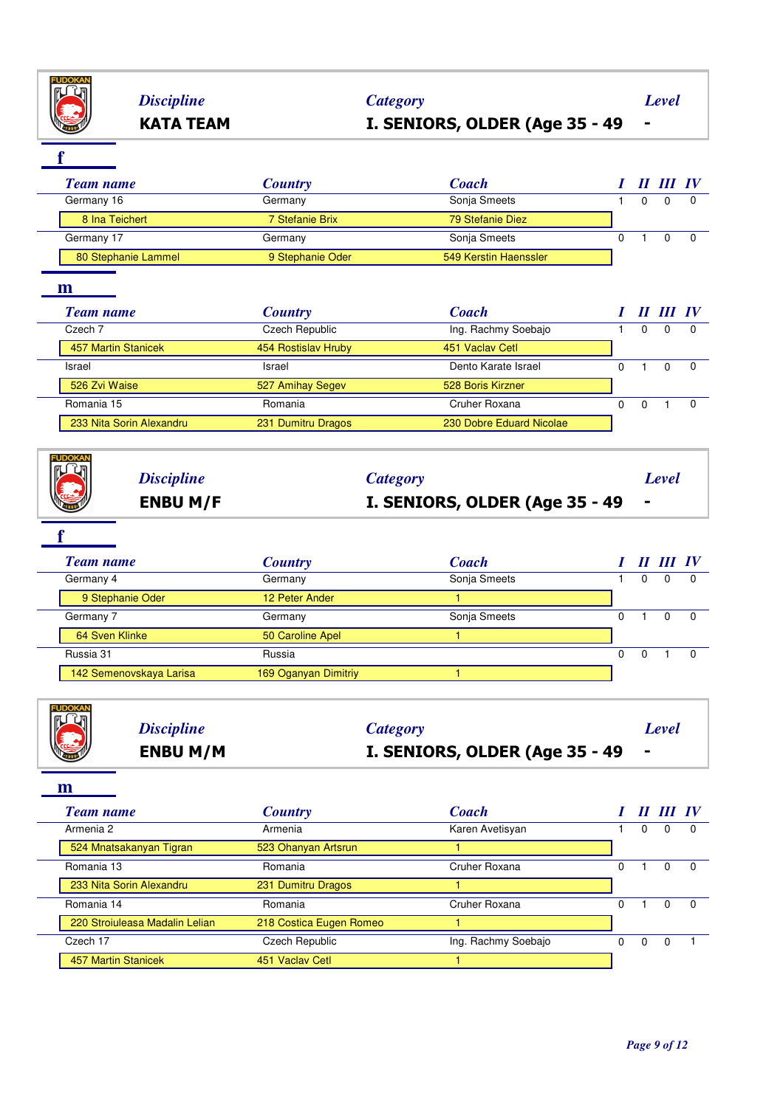

# **KATA TEAM I. SENIORS, OLDER (Age 35 - 49 -** *Discipline Category Level*

**f**

|   | <b>Team name</b>    | <b>Country</b>        | <b>Coach</b>          |   |          | II III IV |          |
|---|---------------------|-----------------------|-----------------------|---|----------|-----------|----------|
|   | Germany 16          | Germany               | Sonja Smeets          |   | 0        | $\Omega$  | 0        |
|   | 8 Ina Teichert      | 7 Stefanie Brix       | 79 Stefanie Diez      |   |          |           |          |
|   | Germany 17          | Germany               | Sonja Smeets          | 0 |          | $\Omega$  | $\Omega$ |
|   | 80 Stephanie Lammel | 9 Stephanie Oder      | 549 Kerstin Haenssler |   |          |           |          |
| m |                     |                       |                       |   |          |           |          |
|   |                     |                       |                       |   |          |           |          |
|   | <b>Team name</b>    | <b>Country</b>        | <b>Coach</b>          |   |          | II III IV |          |
|   | Czech 7             | <b>Czech Republic</b> | Ing. Rachmy Soebajo   |   | $\Omega$ | $\Omega$  | $\Omega$ |
|   | 457 Martin Stanicek | 454 Rostislav Hruby   | 451 Vaclay Cetl       |   |          |           |          |
|   | Israel              | Israel                | Dento Karate Israel   | 0 |          | $\Omega$  | $\Omega$ |

| Romania 15               | Romania               | Cruher Roxana            |  |  |
|--------------------------|-----------------------|--------------------------|--|--|
| 233 Nita Sorin Alexandru | 231<br>Dumitru Dragos | 230 Dobre Eduard Nicolae |  |  |
|                          |                       |                          |  |  |

| $\mathbb{R}$<br>$\mathbb{R}$ | <b>Discipline</b> | <i>Category</i>                | Level          |
|------------------------------|-------------------|--------------------------------|----------------|
| <b>READERS</b>               | <b>ENBU M/F</b>   | I. SENIORS, OLDER (Age 35 - 49 | $\blacksquare$ |

**FUDOKAN** 

| <b>Team name</b>        | <b>Country</b>       | <b>Coach</b> |  | Ш | $\bm{I}$ |
|-------------------------|----------------------|--------------|--|---|----------|
| Germany 4               | Germany              | Sonja Smeets |  | 0 |          |
| 9 Stephanie Oder        | 12 Peter Ander       |              |  |   |          |
| Germany 7               | Germany              | Sonja Smeets |  | 0 |          |
| 64 Sven Klinke          | 50 Caroline Apel     |              |  |   |          |
| Russia 31               | Russia               |              |  |   |          |
| 142 Semenovskaya Larisa | 169 Oganyan Dimitriy |              |  |   |          |

| E | <b>ENBU M/M</b>   | I. SENIORS, OLDER (Age 35 - 49 |       |
|---|-------------------|--------------------------------|-------|
|   | <b>Discipline</b> | <b>Category</b>                | Level |

| <b>Team name</b>               | <b>Country</b>          | <b>Coach</b>        |   |   |          |
|--------------------------------|-------------------------|---------------------|---|---|----------|
| Armenia 2                      | Armenia                 | Karen Avetisyan     |   | 0 |          |
| 524 Mnatsakanyan Tigran        | 523 Ohanyan Artsrun     |                     |   |   |          |
| Romania 13                     | Romania                 | Cruher Roxana       |   |   | $\Omega$ |
| 233 Nita Sorin Alexandru       | 231 Dumitru Dragos      |                     |   |   |          |
| Romania 14                     | Romania                 | Cruher Roxana       |   | 0 |          |
| 220 Stroiuleasa Madalin Lelian | 218 Costica Eugen Romeo |                     |   |   |          |
| Czech 17                       | Czech Republic          | Ing. Rachmy Soebajo | 0 | 0 |          |
| 457 Martin Stanicek            | 451 Vaclay Cetl         |                     |   |   |          |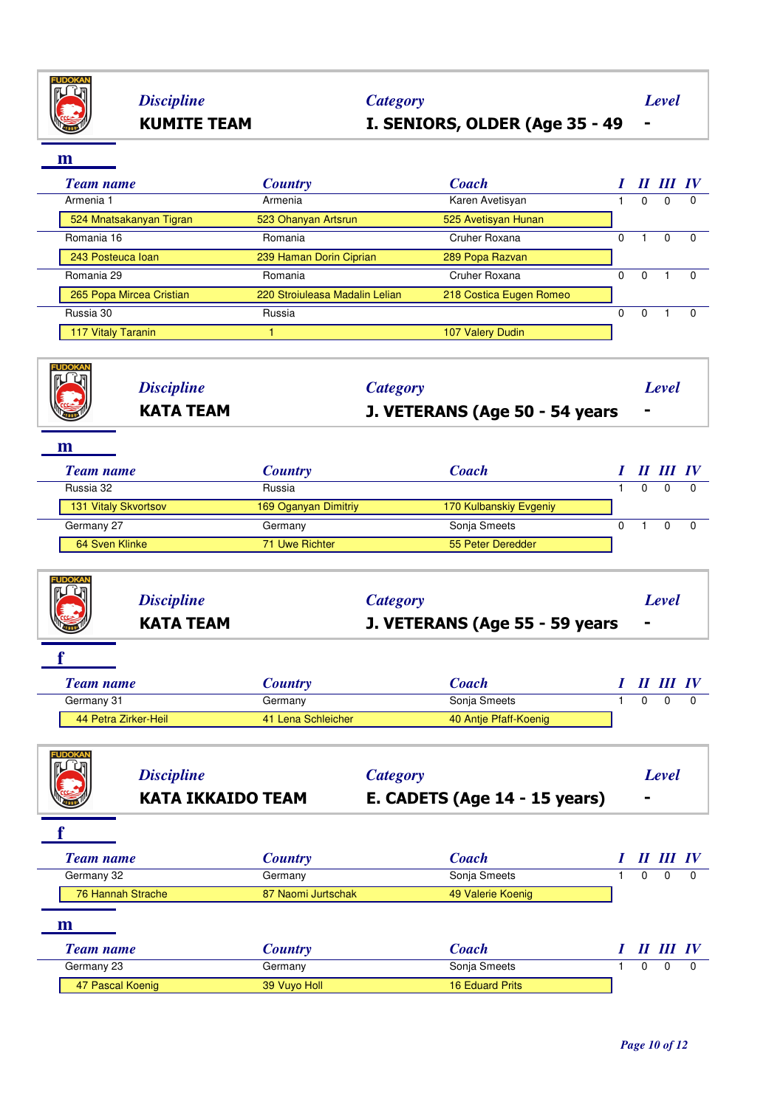

## **KUMITE TEAM I. SENIORS, OLDER (Age 35 - 49 -** *Discipline Category Level*

**m**

| <b>Team name</b>          | <b>Country</b>                 | <b>Coach</b>            |   |          | II III IV |          |
|---------------------------|--------------------------------|-------------------------|---|----------|-----------|----------|
| Armenia 1                 | Armenia                        | Karen Avetisyan         |   | $\Omega$ |           | $\Omega$ |
| 524 Mnatsakanyan Tigran   | 523 Ohanyan Artsrun            | 525 Avetisyan Hunan     |   |          |           |          |
| Romania 16                | Romania                        | Cruher Roxana           | 0 |          |           | $\Omega$ |
| 243 Posteuca Ioan         | 239 Haman Dorin Ciprian        | 289 Popa Razvan         |   |          |           |          |
| Romania 29                | Romania                        | Cruher Roxana           | 0 | $\Omega$ |           | $\Omega$ |
| 265 Popa Mircea Cristian  | 220 Stroiuleasa Madalin Lelian | 218 Costica Eugen Romeo |   |          |           |          |
| Russia 30                 | Russia                         |                         | 0 | $\Omega$ |           | $\Omega$ |
| <b>117 Vitaly Taranin</b> |                                | 107 Valery Dudin        |   |          |           |          |
|                           |                                |                         |   |          |           |          |

| <b>IP</b> | <i><b>Discipline</b></i> | <b>Category</b>                | Level          |
|-----------|--------------------------|--------------------------------|----------------|
|           | <b>KATA TEAM</b>         | J. VETERANS (Age 50 - 54 years | $\blacksquare$ |
|           |                          |                                |                |

**m**

| <b>Country</b>       | Coach                  |  |           |
|----------------------|------------------------|--|-----------|
| Russia               |                        |  |           |
| 169 Oganyan Dimitriy | 170 Kulbanskiy Evgeniy |  |           |
| Germany              | Sonja Smeets           |  |           |
| 71 Uwe Richter       | 55 Peter Deredder      |  |           |
|                      |                        |  | II III IV |

|        | <b>KATA TEAM</b>  | J. VETERANS (Age 55 - 59 years | . .   |
|--------|-------------------|--------------------------------|-------|
| EUDOKA | <b>Discipline</b> | Category                       | Level |

| <b>Team name</b>     | <b>Country</b>     | Coach                 |  | II III IV |  |
|----------------------|--------------------|-----------------------|--|-----------|--|
| Germany 31           | Germany            | Sonja Smeets          |  |           |  |
| 44 Petra Zirker-Heil | 41 Lena Schleicher | 40 Antie Pfaff-Koenig |  |           |  |

| <b>FUDOKA</b><br><b>Discipline</b><br><b>KATA IKKAIDO TEAM</b> |                    | <b>Category</b><br>E. CADETS (Age 14 - 15 years) |          | Level            |          |
|----------------------------------------------------------------|--------------------|--------------------------------------------------|----------|------------------|----------|
|                                                                |                    |                                                  |          |                  |          |
| <b>Team name</b>                                               | <b>Country</b>     | <b>Coach</b>                                     |          | II III IV        |          |
| Germany 32                                                     | Germany            | Sonja Smeets                                     | $\Omega$ | $\Omega$         | $\Omega$ |
| 76 Hannah Strache                                              | 87 Naomi Jurtschak | 49 Valerie Koenig                                |          |                  |          |
| m                                                              |                    |                                                  |          |                  |          |
| <b>Team name</b>                                               | <b>Country</b>     | <b>Coach</b>                                     |          | <b>II III IV</b> |          |
| Germany 23                                                     | Germany            | Sonja Smeets                                     | $\Omega$ | $\Omega$         | - 0      |
| 47 Pascal Koenig                                               | 39 Vuyo Holl       | <b>16 Eduard Prits</b>                           |          |                  |          |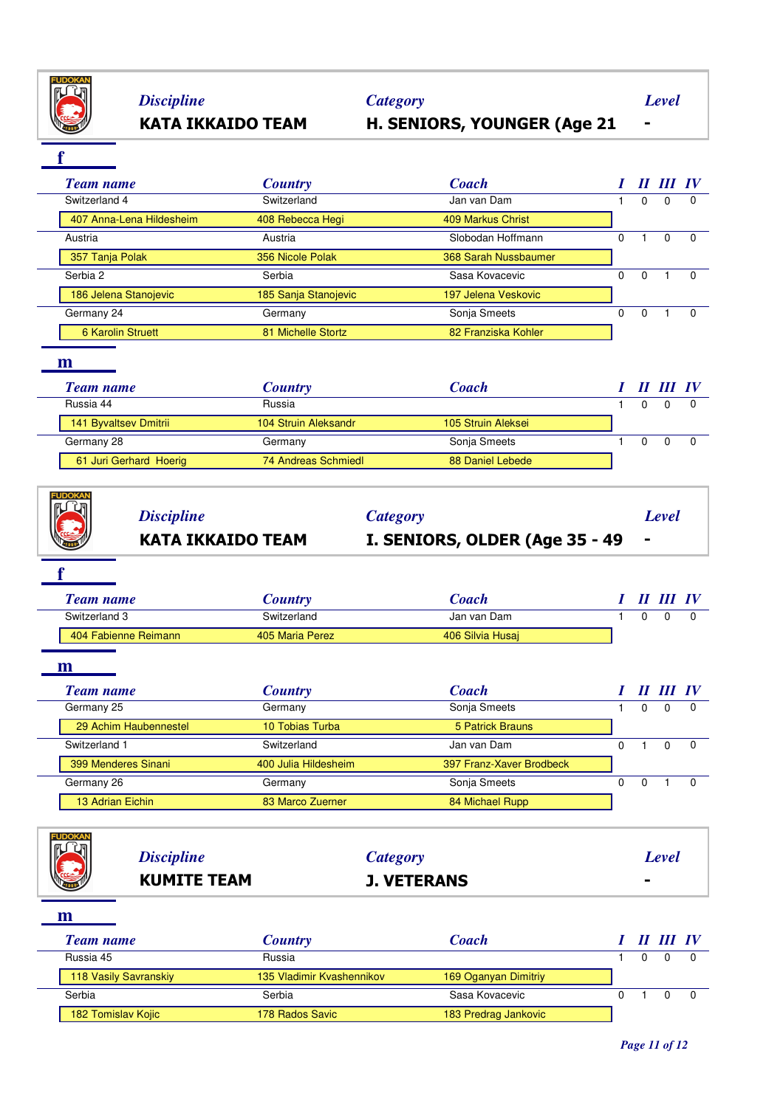

# *Discipline Category Level*

# **KATA IKKAIDO TEAM H. SENIORS, YOUNGER (Age 21 -**

**f**

| <b>Team name</b>                                               | <b>Country</b>                 | <b>Coach</b>                                      |                |              |              |              |
|----------------------------------------------------------------|--------------------------------|---------------------------------------------------|----------------|--------------|--------------|--------------|
| Switzerland 4                                                  | Switzerland                    | Jan van Dam                                       | 1              | $\Omega$     | $\Omega$     | 0            |
| 407 Anna-Lena Hildesheim                                       | 408 Rebecca Hegi               | <b>409 Markus Christ</b>                          |                |              |              |              |
| Austria                                                        | Austria                        | Slobodan Hoffmann                                 | $\Omega$       | $\mathbf{1}$ | $\Omega$     | $\Omega$     |
| 357 Tanja Polak                                                | 356 Nicole Polak               | 368 Sarah Nussbaumer                              |                |              |              |              |
| Serbia 2                                                       | Serbia                         | Sasa Kovacevic                                    | $\Omega$       | $\mathbf 0$  | $\mathbf{1}$ | $\Omega$     |
| 186 Jelena Stanojevic                                          | 185 Sanja Stanojevic           | 197 Jelena Veskovic                               |                |              |              |              |
| Germany 24                                                     | Germany                        | Sonja Smeets                                      | $\overline{0}$ | $\Omega$     | $\mathbf{1}$ | $\Omega$     |
| <b>6 Karolin Struett</b>                                       | 81 Michelle Stortz             | 82 Franziska Kohler                               |                |              |              |              |
| Russia 44<br>141 Byvaltsev Dmitrii                             | Russia<br>104 Struin Aleksandr | 105 Struin Aleksei                                | 1              | $\Omega$     | $\Omega$     | <sup>0</sup> |
|                                                                |                                |                                                   |                |              |              |              |
| Germany 28                                                     | Germany                        | Sonja Smeets                                      | $\mathbf{1}$   | $\Omega$     | $\Omega$     | $\Omega$     |
| 61 Juri Gerhard Hoerig                                         | <b>74 Andreas Schmiedl</b>     | 88 Daniel Lebede                                  |                |              |              |              |
| <b>IIDOKA</b><br><b>Discipline</b><br><b>KATA IKKAIDO TEAM</b> |                                | <b>Category</b><br>I. SENIORS, OLDER (Age 35 - 49 |                |              | <b>Level</b> |              |
|                                                                |                                |                                                   |                |              |              |              |
| <b>Team name</b>                                               | <b>Country</b>                 | <b>Coach</b>                                      |                |              |              |              |
| Switzerland 3                                                  | Switzerland                    | Jan van Dam                                       | $\mathbf{1}$   | $\Omega$     | $\Omega$     | $\Omega$     |
| 404 Fabienne Reimann                                           | 405 Maria Perez                | 406 Silvia Husaj                                  |                |              |              |              |

| <b>Team name</b>      | <b>Country</b>       | <b>Coach</b>             | П | III IV |  |
|-----------------------|----------------------|--------------------------|---|--------|--|
| Germany 25            | Germany              | Sonja Smeets             |   |        |  |
| 29 Achim Haubennestel | 10 Tobias Turba      | 5 Patrick Brauns         |   |        |  |
| Switzerland 1         | Switzerland          | Jan van Dam              |   |        |  |
| 399 Menderes Sinani   | 400 Julia Hildesheim | 397 Franz-Xaver Brodbeck |   |        |  |
| Germany 26            | Germany              | Sonja Smeets             | 0 |        |  |
| 13 Adrian Eichin      | 83 Marco Zuerner     | 84 Michael Rupp          |   |        |  |

| <b>THE REAL</b> | <b>Discipline</b>  | <b>Category</b>    | Level |
|-----------------|--------------------|--------------------|-------|
|                 | <b>KUMITE TEAM</b> | <b>J. VETERANS</b> |       |

| Team name             | <b>Country</b>            | Coach                |  | II III IV |  |
|-----------------------|---------------------------|----------------------|--|-----------|--|
| Russia 45             | Russia                    |                      |  |           |  |
| 118 Vasily Savranskiy | 135 Vladimir Kvashennikov | 169 Oganyan Dimitriy |  |           |  |
| Serbia                | Serbia                    | Sasa Kovacevic       |  |           |  |
| 182 Tomislav Kojic    | 178 Rados Savic           | 183 Predrag Jankovic |  |           |  |